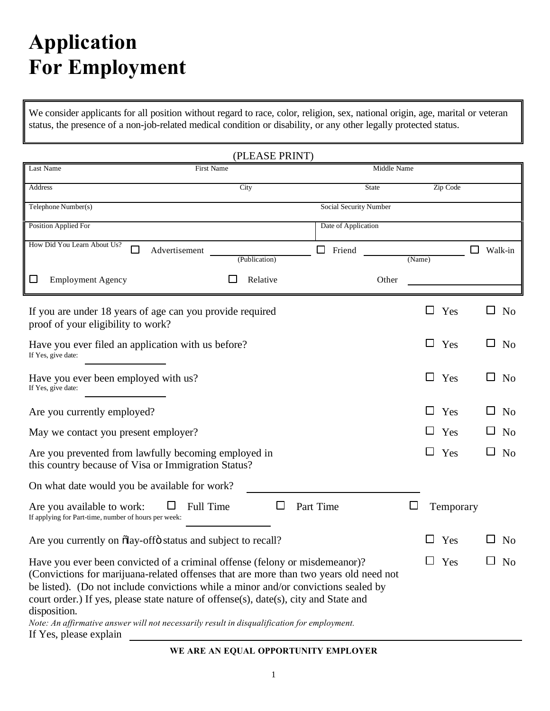# **Application For Employment**

We consider applicants for all position without regard to race, color, religion, sex, national origin, age, marital or veteran status, the presence of a non-job-related medical condition or disability, or any other legally protected status.

| (PLEASE PRINT)                                                                                                                                                                                                                                                                                                                                                                                                                                                                              |                           |                        |             |        |            |                          |  |
|---------------------------------------------------------------------------------------------------------------------------------------------------------------------------------------------------------------------------------------------------------------------------------------------------------------------------------------------------------------------------------------------------------------------------------------------------------------------------------------------|---------------------------|------------------------|-------------|--------|------------|--------------------------|--|
| Last Name<br>First Name                                                                                                                                                                                                                                                                                                                                                                                                                                                                     |                           |                        | Middle Name |        |            |                          |  |
| Address                                                                                                                                                                                                                                                                                                                                                                                                                                                                                     | City                      |                        | State       |        | Zip Code   |                          |  |
| Telephone Number(s)                                                                                                                                                                                                                                                                                                                                                                                                                                                                         |                           | Social Security Number |             |        |            |                          |  |
| Position Applied For                                                                                                                                                                                                                                                                                                                                                                                                                                                                        |                           | Date of Application    |             |        |            |                          |  |
| How Did You Learn About Us?<br>□<br>Advertisement                                                                                                                                                                                                                                                                                                                                                                                                                                           |                           | $\Box$<br>Friend       |             |        |            | Walk-in                  |  |
| <b>Employment Agency</b>                                                                                                                                                                                                                                                                                                                                                                                                                                                                    | (Publication)<br>Relative |                        | Other       | (Name) |            |                          |  |
| If you are under 18 years of age can you provide required<br>proof of your eligibility to work?                                                                                                                                                                                                                                                                                                                                                                                             |                           |                        |             | $\Box$ | Yes        | N <sub>o</sub><br>ப      |  |
| Have you ever filed an application with us before?<br>If Yes, give date:                                                                                                                                                                                                                                                                                                                                                                                                                    |                           |                        |             | $\Box$ | Yes        | N <sub>o</sub><br>LΙ     |  |
| Have you ever been employed with us?<br>If Yes, give date:                                                                                                                                                                                                                                                                                                                                                                                                                                  |                           |                        |             | $\Box$ | Yes        | N <sub>o</sub><br>$\Box$ |  |
| Are you currently employed?                                                                                                                                                                                                                                                                                                                                                                                                                                                                 |                           |                        |             | ⊔      | Yes        | N <sub>0</sub><br>ப      |  |
| May we contact you present employer?                                                                                                                                                                                                                                                                                                                                                                                                                                                        |                           |                        |             | $\Box$ | Yes        | N <sub>o</sub>           |  |
| Are you prevented from lawfully becoming employed in<br>this country because of Visa or Immigration Status?                                                                                                                                                                                                                                                                                                                                                                                 |                           |                        |             |        | $\Box$ Yes | N <sub>o</sub>           |  |
| On what date would you be available for work?                                                                                                                                                                                                                                                                                                                                                                                                                                               |                           |                        |             |        |            |                          |  |
| Full Time<br>Are you available to work:<br>If applying for Part-time, number of hours per week:                                                                                                                                                                                                                                                                                                                                                                                             | $\Box$                    | Part Time              |             | ⊔      | Temporary  |                          |  |
| Are you currently on $\delta$ lay-off $\delta$ status and subject to recall?                                                                                                                                                                                                                                                                                                                                                                                                                |                           |                        |             |        | Yes        | N <sub>o</sub>           |  |
| Have you ever been convicted of a criminal offense (felony or misdemeanor)?<br>(Convictions for marijuana-related offenses that are more than two years old need not<br>be listed). (Do not include convictions while a minor and/or convictions sealed by<br>court order.) If yes, please state nature of offense(s), date(s), city and State and<br>disposition.<br>Note: An affirmative answer will not necessarily result in disqualification for employment.<br>If Yes, please explain |                           |                        |             |        | $\Box$ Yes | No                       |  |

**WE ARE AN EQUAL OPPORTUNITY EMPLOYER**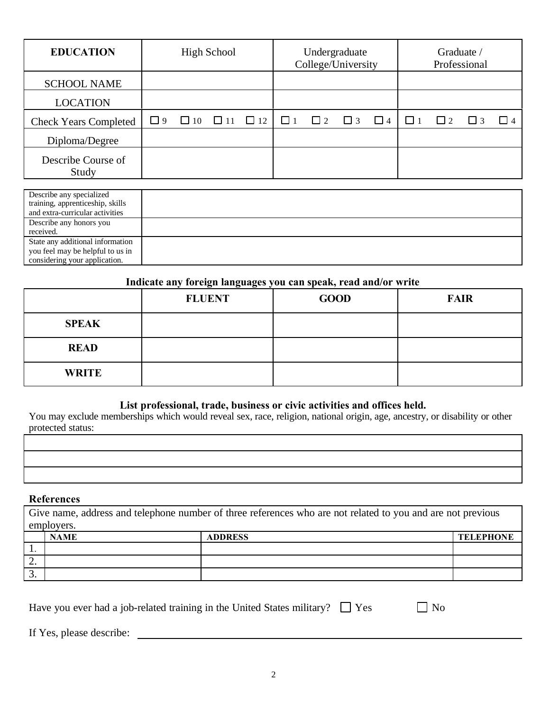| <b>EDUCATION</b>             | <b>High School</b> |           | Undergraduate<br>College/University |          |          | Graduate /<br>Professional |          |          |  |  |          |
|------------------------------|--------------------|-----------|-------------------------------------|----------|----------|----------------------------|----------|----------|--|--|----------|
| <b>SCHOOL NAME</b>           |                    |           |                                     |          |          |                            |          |          |  |  |          |
| <b>LOCATION</b>              |                    |           |                                     |          |          |                            |          |          |  |  |          |
| <b>Check Years Completed</b> | $\Box$ 9           | $\Box$ 10 | $\Box$ 11 $\Box$ 12                 | $\Box$ 1 | $\Box$ 2 | $\Box$<br>3                | $\Box$ 4 | $\Box$ 1 |  |  | $\Box$ 4 |
| Diploma/Degree               |                    |           |                                     |          |          |                            |          |          |  |  |          |
| Describe Course of<br>Study  |                    |           |                                     |          |          |                            |          |          |  |  |          |

| Describe any specialized<br>training, apprenticeship, skills<br>and extra-curricular activities       |  |
|-------------------------------------------------------------------------------------------------------|--|
| Describe any honors you<br>received.                                                                  |  |
| State any additional information<br>you feel may be helpful to us in<br>considering your application. |  |

#### **Indicate any foreign languages you can speak, read and/or write**

|              | <b>FLUENT</b> | <b>GOOD</b> | <b>FAIR</b> |
|--------------|---------------|-------------|-------------|
| <b>SPEAK</b> |               |             |             |
| <b>READ</b>  |               |             |             |
| <b>WRITE</b> |               |             |             |

### **List professional, trade, business or civic activities and offices held.**

You may exclude memberships which would reveal sex, race, religion, national origin, age, ancestry, or disability or other protected status:

#### **References**

Give name, address and telephone number of three references who are not related to you and are not previous employers.

|          | <b>NAME</b> | <b>ADDRESS</b> | <b>TELEPHONE</b> |
|----------|-------------|----------------|------------------|
| . .      |             |                |                  |
| <u>.</u> |             |                |                  |
| ◡.       |             |                |                  |

|  |  |  | Have you ever had a job-related training in the United States military? $\Box$ Yes |  | $\Box$ No |
|--|--|--|------------------------------------------------------------------------------------|--|-----------|
|--|--|--|------------------------------------------------------------------------------------|--|-----------|

If Yes, please describe: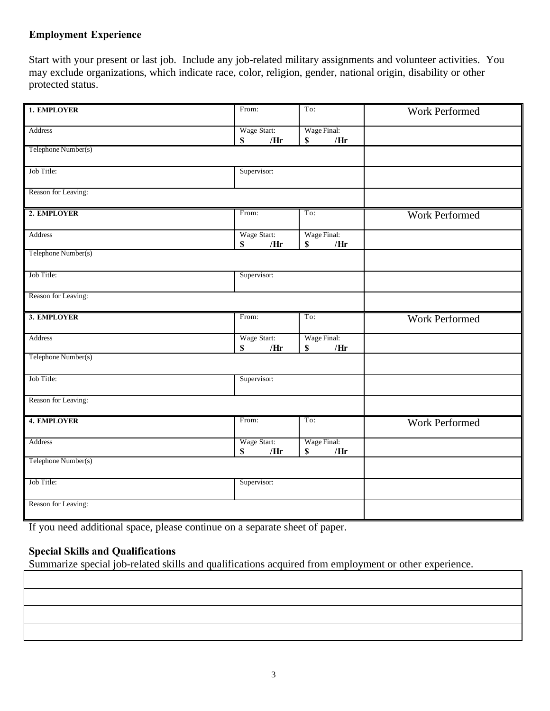## **Employment Experience**

Start with your present or last job. Include any job-related military assignments and volunteer activities. You may exclude organizations, which indicate race, color, religion, gender, national origin, disability or other protected status.

| 1. EMPLOYER         | From:                               | To:                      | Work Performed        |
|---------------------|-------------------------------------|--------------------------|-----------------------|
|                     |                                     |                          |                       |
| Address             | Wage Start:                         | Wage Final:              |                       |
|                     | \$<br>/Hr                           | \$<br>/Hr                |                       |
| Telephone Number(s) |                                     |                          |                       |
| Job Title:          | Supervisor:                         |                          |                       |
|                     |                                     |                          |                       |
| Reason for Leaving: |                                     |                          |                       |
| 2. EMPLOYER         | From:                               | To:                      | Work Performed        |
|                     |                                     |                          |                       |
| Address             | Wage Start:                         | Wage Final:              |                       |
| Telephone Number(s) | $\boldsymbol{\mathsf{S}}$<br>/ $Hr$ | /Hr<br>$\mathbb S$       |                       |
|                     |                                     |                          |                       |
| Job Title:          | Supervisor:                         |                          |                       |
|                     |                                     |                          |                       |
| Reason for Leaving: |                                     |                          |                       |
| 3. EMPLOYER         | From:                               | To:                      | <b>Work Performed</b> |
|                     |                                     |                          |                       |
| Address             | Wage Start:<br>/Hr<br>$\mathbb S$   | Wage Final:<br>/Hr<br>\$ |                       |
| Telephone Number(s) |                                     |                          |                       |
|                     |                                     |                          |                       |
| Job Title:          | Supervisor:                         |                          |                       |
|                     |                                     |                          |                       |
| Reason for Leaving: |                                     |                          |                       |
| <b>4. EMPLOYER</b>  | From:                               | To:                      | <b>Work Performed</b> |
|                     |                                     |                          |                       |
| Address             | Wage Start:                         | Wage Final:              |                       |
|                     | S<br>/Hr                            | /Hr<br>\$                |                       |
| Telephone Number(s) |                                     |                          |                       |
| Job Title:          | Supervisor:                         |                          |                       |
|                     |                                     |                          |                       |
| Reason for Leaving: |                                     |                          |                       |
|                     |                                     |                          |                       |

If you need additional space, please continue on a separate sheet of paper.

# **Special Skills and Qualifications**

Summarize special job-related skills and qualifications acquired from employment or other experience.